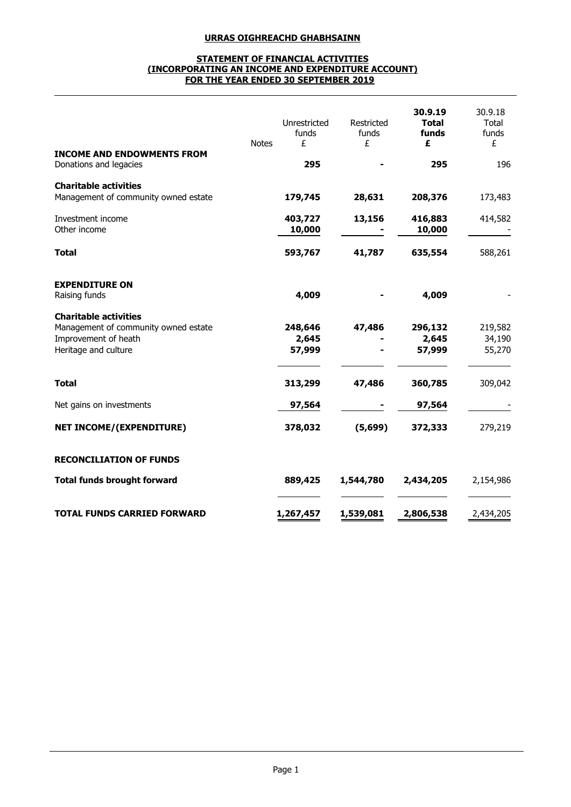## **URRAS OIGHREACHD GHABHSAINN**

## **STATEMENT OF FINANCIAL ACTIVITIES (INCORPORATING AN INCOME AND EXPENDITURE ACCOUNT) FOR THE YEAR ENDED 30 SEPTEMBER 2019**

|                                                                                                                      | <b>Notes</b> | Unrestricted<br>funds<br>£ | Restricted<br>funds<br>£ | 30.9.19<br><b>Total</b><br>funds<br>£ | 30.9.18<br>Total<br>funds<br>£ |
|----------------------------------------------------------------------------------------------------------------------|--------------|----------------------------|--------------------------|---------------------------------------|--------------------------------|
| <b>INCOME AND ENDOWMENTS FROM</b><br>Donations and legacies                                                          |              | 295                        |                          | 295                                   | 196                            |
| <b>Charitable activities</b><br>Management of community owned estate                                                 |              | 179,745                    | 28,631                   | 208,376                               | 173,483                        |
| Investment income<br>Other income                                                                                    |              | 403,727<br>10,000          | 13,156                   | 416,883<br>10,000                     | 414,582                        |
| <b>Total</b>                                                                                                         |              | 593,767                    | 41,787                   | 635,554                               | 588,261                        |
| <b>EXPENDITURE ON</b><br>Raising funds                                                                               |              | 4,009                      |                          | 4,009                                 |                                |
| <b>Charitable activities</b><br>Management of community owned estate<br>Improvement of heath<br>Heritage and culture |              | 248,646<br>2,645<br>57,999 | 47,486                   | 296,132<br>2,645<br>57,999            | 219,582<br>34,190<br>55,270    |
| <b>Total</b>                                                                                                         |              | 313,299                    | 47,486                   | 360,785                               | 309,042                        |
| Net gains on investments                                                                                             |              | 97,564                     |                          | 97,564                                |                                |
| <b>NET INCOME/(EXPENDITURE)</b>                                                                                      |              | 378,032                    | (5,699)                  | 372,333                               | 279,219                        |
| <b>RECONCILIATION OF FUNDS</b>                                                                                       |              |                            |                          |                                       |                                |
| <b>Total funds brought forward</b>                                                                                   |              | 889,425                    | 1,544,780                | 2,434,205                             | 2,154,986                      |
| <b>TOTAL FUNDS CARRIED FORWARD</b>                                                                                   |              | 1,267,457                  | 1,539,081                | 2,806,538                             | 2,434,205                      |